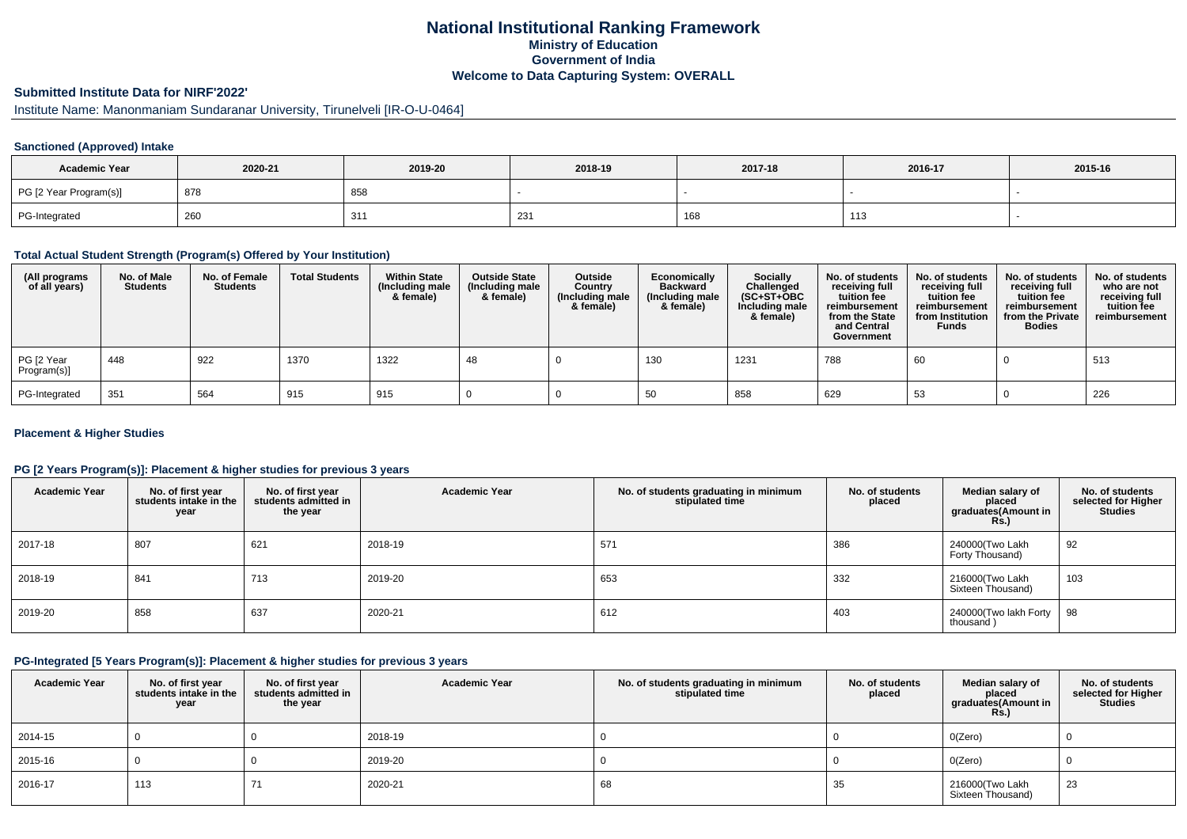# **National Institutional Ranking FrameworkMinistry of Education Government of IndiaWelcome to Data Capturing System: OVERALL**

# **Submitted Institute Data for NIRF'2022'**

Institute Name: Manonmaniam Sundaranar University, Tirunelveli [IR-O-U-0464]

## **Sanctioned (Approved) Intake**

| <b>Academic Year</b>   | 2020-21 | 2019-20 | 2018-19        | 2017-18 | 2016-17 | 2015-16 |
|------------------------|---------|---------|----------------|---------|---------|---------|
| PG [2 Year Program(s)] | 878     | 858     |                |         |         |         |
| PG-Integrated          | 260     | 311     | $\sim$<br>ا ت∠ | 168     | 113     |         |

#### **Total Actual Student Strength (Program(s) Offered by Your Institution)**

| (All programs<br>of all years) | No. of Male<br><b>Students</b> | No. of Female<br>Students | <b>Total Students</b> | <b>Within State</b><br>(Including male<br>& female) | <b>Outside State</b><br>(Including male<br>& female) | Outside<br>Country<br>(Including male<br>& female) | Economically<br><b>Backward</b><br>(Including male<br>& female) | Socially<br>Challenged<br>$(SC+ST+OBC)$<br>Including male<br>& female) | No. of students<br>receiving full<br>tuition fee<br>reimbursement<br>from the State<br>and Central<br>Government | No. of students<br>receiving full<br>tuition fee<br>reimbursement<br>from Institution<br><b>Funds</b> | No. of students<br>receiving full<br>tuition fee<br>reimbursement<br>from the Private<br><b>Bodies</b> | No. of students<br>who are not<br>receiving full<br>tuition fee<br>reimbursement |
|--------------------------------|--------------------------------|---------------------------|-----------------------|-----------------------------------------------------|------------------------------------------------------|----------------------------------------------------|-----------------------------------------------------------------|------------------------------------------------------------------------|------------------------------------------------------------------------------------------------------------------|-------------------------------------------------------------------------------------------------------|--------------------------------------------------------------------------------------------------------|----------------------------------------------------------------------------------|
| PG [2 Year<br>Program(s)]      | 448                            | 922                       | 1370                  | 1322                                                | 48                                                   |                                                    | 130                                                             | 1231                                                                   | 788                                                                                                              | 60                                                                                                    |                                                                                                        | 513                                                                              |
| PG-Integrated                  | 351                            | 564                       | 915                   | 915                                                 |                                                      |                                                    | 50                                                              | 858                                                                    | 629                                                                                                              | 53                                                                                                    |                                                                                                        | 226                                                                              |

#### **Placement & Higher Studies**

#### **PG [2 Years Program(s)]: Placement & higher studies for previous 3 years**

| <b>Academic Year</b> | No. of first year<br>students intake in the<br>year | No. of first vear<br>students admitted in<br>the year | <b>Academic Year</b> | No. of students graduating in minimum<br>stipulated time | No. of students<br>placed | Median salary of<br>placed<br>graduates(Amount in<br>Rs.) | No. of students<br>selected for Higher<br><b>Studies</b> |
|----------------------|-----------------------------------------------------|-------------------------------------------------------|----------------------|----------------------------------------------------------|---------------------------|-----------------------------------------------------------|----------------------------------------------------------|
| 2017-18              | 807                                                 | 621                                                   | 2018-19              | 571                                                      | 386                       | 240000(Two Lakh<br>Forty Thousand)                        | 92                                                       |
| 2018-19              | 841                                                 | 713                                                   | 2019-20              | 653                                                      | 332                       | 216000(Two Lakh<br>Sixteen Thousand)                      | 103                                                      |
| 2019-20              | 858                                                 | 637                                                   | 2020-21              | 612                                                      | 403                       | 240000(Two lakh Forty<br>thousand)                        | 98                                                       |

## **PG-Integrated [5 Years Program(s)]: Placement & higher studies for previous 3 years**

| <b>Academic Year</b> | No. of first year<br>students intake in the<br>year | No. of first year<br>students admitted in<br>the year | <b>Academic Year</b> | No. of students graduating in minimum<br>stipulated time | No. of students<br>placed | Median salary of<br>placed<br>graduates(Amount in<br><b>Rs.)</b> | No. of students<br>selected for Higher<br><b>Studies</b> |
|----------------------|-----------------------------------------------------|-------------------------------------------------------|----------------------|----------------------------------------------------------|---------------------------|------------------------------------------------------------------|----------------------------------------------------------|
| 2014-15              |                                                     |                                                       | 2018-19              |                                                          |                           | O(Zero)                                                          |                                                          |
| 2015-16              |                                                     |                                                       | 2019-20              |                                                          |                           | O(Zero)                                                          |                                                          |
| 2016-17              | 113                                                 |                                                       | 2020-21              | 68                                                       | 35                        | 216000(Two Lakh<br>Sixteen Thousand)                             | 23                                                       |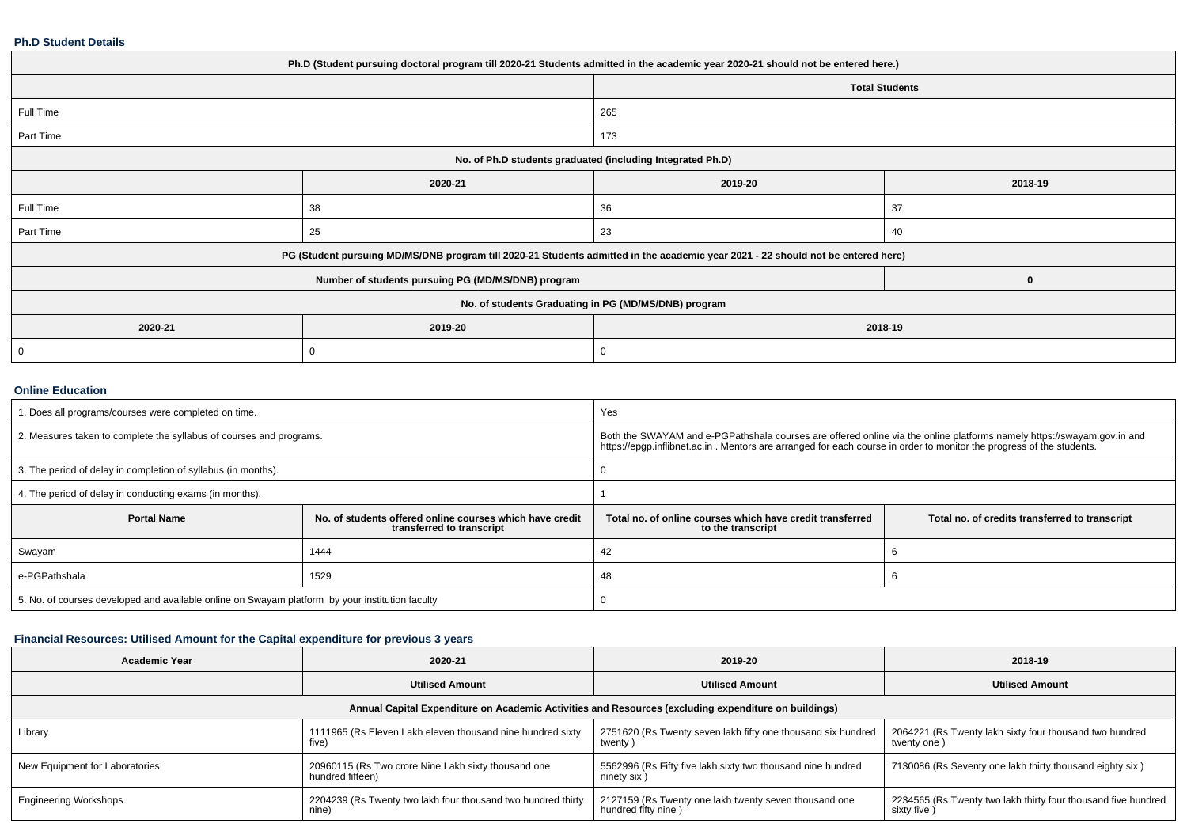#### **Ph.D Student Details**

| Ph.D (Student pursuing doctoral program till 2020-21 Students admitted in the academic year 2020-21 should not be entered here.) |                                                                                                                                  |                       |         |  |  |  |
|----------------------------------------------------------------------------------------------------------------------------------|----------------------------------------------------------------------------------------------------------------------------------|-----------------------|---------|--|--|--|
|                                                                                                                                  |                                                                                                                                  | <b>Total Students</b> |         |  |  |  |
| Full Time                                                                                                                        |                                                                                                                                  | 265                   |         |  |  |  |
| Part Time                                                                                                                        |                                                                                                                                  | 173                   |         |  |  |  |
| No. of Ph.D students graduated (including Integrated Ph.D)                                                                       |                                                                                                                                  |                       |         |  |  |  |
|                                                                                                                                  | 2020-21                                                                                                                          | 2019-20               | 2018-19 |  |  |  |
| Full Time                                                                                                                        | 38                                                                                                                               | 36                    | 37      |  |  |  |
| Part Time                                                                                                                        | 25                                                                                                                               | 23                    | 40      |  |  |  |
|                                                                                                                                  | PG (Student pursuing MD/MS/DNB program till 2020-21 Students admitted in the academic year 2021 - 22 should not be entered here) |                       |         |  |  |  |
|                                                                                                                                  | 0                                                                                                                                |                       |         |  |  |  |
| No. of students Graduating in PG (MD/MS/DNB) program                                                                             |                                                                                                                                  |                       |         |  |  |  |
| 2020-21                                                                                                                          | 2019-20                                                                                                                          | 2018-19               |         |  |  |  |
|                                                                                                                                  | O                                                                                                                                |                       |         |  |  |  |
|                                                                                                                                  |                                                                                                                                  |                       |         |  |  |  |

## **Online Education**

| 1. Does all programs/courses were completed on time.                                            |                                                                                       | Yes                                                                                                                                                                                                                                             |                                                |  |
|-------------------------------------------------------------------------------------------------|---------------------------------------------------------------------------------------|-------------------------------------------------------------------------------------------------------------------------------------------------------------------------------------------------------------------------------------------------|------------------------------------------------|--|
| 2. Measures taken to complete the syllabus of courses and programs.                             |                                                                                       | Both the SWAYAM and e-PGPathshala courses are offered online via the online platforms namely https://swayam.gov.in and<br>https://epgp.inflibnet.ac.in . Mentors are arranged for each course in order to monitor the progress of the students. |                                                |  |
| 3. The period of delay in completion of syllabus (in months).                                   |                                                                                       |                                                                                                                                                                                                                                                 |                                                |  |
| 4. The period of delay in conducting exams (in months).                                         |                                                                                       |                                                                                                                                                                                                                                                 |                                                |  |
| <b>Portal Name</b>                                                                              | No. of students offered online courses which have credit<br>transferred to transcript | Total no, of online courses which have credit transferred<br>to the transcript                                                                                                                                                                  | Total no. of credits transferred to transcript |  |
| Swayam                                                                                          | 1444                                                                                  | 42                                                                                                                                                                                                                                              |                                                |  |
| e-PGPathshala                                                                                   | 1529                                                                                  | 48                                                                                                                                                                                                                                              |                                                |  |
| 5. No. of courses developed and available online on Swayam platform by your institution faculty |                                                                                       |                                                                                                                                                                                                                                                 |                                                |  |

# **Financial Resources: Utilised Amount for the Capital expenditure for previous 3 years**

| <b>Academic Year</b>                                                                                 | 2020-21                                                                 | 2019-20                                                                      | 2018-19                                                                      |  |  |  |  |
|------------------------------------------------------------------------------------------------------|-------------------------------------------------------------------------|------------------------------------------------------------------------------|------------------------------------------------------------------------------|--|--|--|--|
|                                                                                                      | <b>Utilised Amount</b>                                                  | <b>Utilised Amount</b>                                                       | <b>Utilised Amount</b>                                                       |  |  |  |  |
| Annual Capital Expenditure on Academic Activities and Resources (excluding expenditure on buildings) |                                                                         |                                                                              |                                                                              |  |  |  |  |
| Library                                                                                              | 1111965 (Rs Eleven Lakh eleven thousand nine hundred sixty<br>five)     | 2751620 (Rs Twenty seven lakh fifty one thousand six hundred<br>twenty)      | 2064221 (Rs Twenty lakh sixty four thousand two hundred<br>twenty one)       |  |  |  |  |
| New Equipment for Laboratories                                                                       | 20960115 (Rs Two crore Nine Lakh sixty thousand one<br>hundred fifteen) | 5562996 (Rs Fifty five lakh sixty two thousand nine hundred<br>ninety six)   | 7130086 (Rs Seventy one lakh thirty thousand eighty six)                     |  |  |  |  |
| <b>Engineering Workshops</b>                                                                         | 2204239 (Rs Twenty two lakh four thousand two hundred thirty<br>nine)   | 2127159 (Rs Twenty one lakh twenty seven thousand one<br>hundred fifty nine) | 2234565 (Rs Twenty two lakh thirty four thousand five hundred<br>sixty five) |  |  |  |  |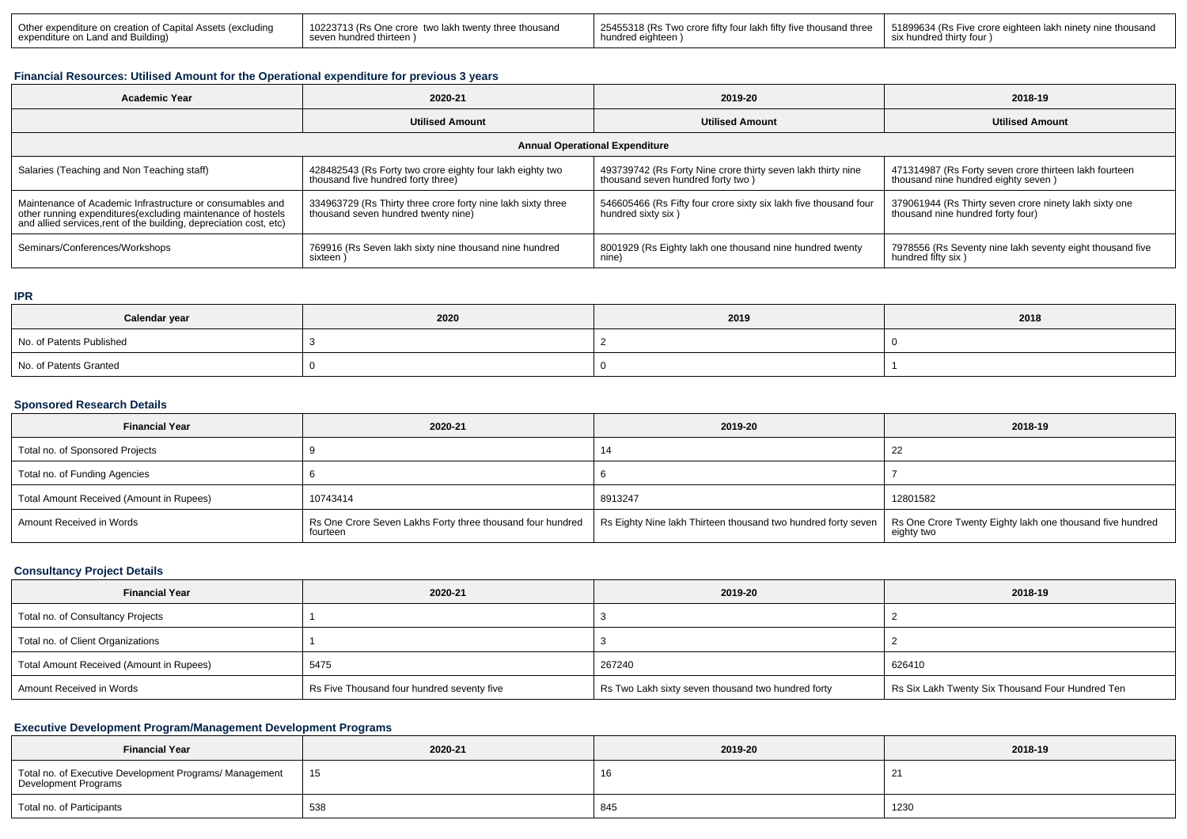| Other expenditure on creation of Capital Assets<br><i>(excluding</i> )<br>expenditure on Land and Building. | 10223713 (Rs One crore two lakh twenty three thousand<br>seven hundred thirteen | 25455318 (Rs Two crore fifty four lakh fifty five thousand three<br>eighteen | 1 51899634 (Rs Five crore eighteen lakh ninety nine thousand<br>six hundred thirty four |
|-------------------------------------------------------------------------------------------------------------|---------------------------------------------------------------------------------|------------------------------------------------------------------------------|-----------------------------------------------------------------------------------------|
|-------------------------------------------------------------------------------------------------------------|---------------------------------------------------------------------------------|------------------------------------------------------------------------------|-----------------------------------------------------------------------------------------|

## **Financial Resources: Utilised Amount for the Operational expenditure for previous 3 years**

| <b>Academic Year</b>                                                                                                                                                                            | 2020-21                                                                                             | 2019-20                                                                                           | 2018-19                                                                                       |  |  |  |  |
|-------------------------------------------------------------------------------------------------------------------------------------------------------------------------------------------------|-----------------------------------------------------------------------------------------------------|---------------------------------------------------------------------------------------------------|-----------------------------------------------------------------------------------------------|--|--|--|--|
|                                                                                                                                                                                                 | <b>Utilised Amount</b>                                                                              | <b>Utilised Amount</b>                                                                            | <b>Utilised Amount</b>                                                                        |  |  |  |  |
| <b>Annual Operational Expenditure</b>                                                                                                                                                           |                                                                                                     |                                                                                                   |                                                                                               |  |  |  |  |
| Salaries (Teaching and Non Teaching staff)                                                                                                                                                      | 428482543 (Rs Forty two crore eighty four lakh eighty two<br>thousand five hundred forty three)     | 493739742 (Rs Forty Nine crore thirty seven lakh thirty nine<br>thousand seven hundred forty two) | 471314987 (Rs Forty seven crore thirteen lakh fourteen<br>thousand nine hundred eighty seven) |  |  |  |  |
| Maintenance of Academic Infrastructure or consumables and<br>other running expenditures (excluding maintenance of hostels<br>and allied services, rent of the building, depreciation cost, etc) | 334963729 (Rs Thirty three crore forty nine lakh sixty three<br>thousand seven hundred twenty nine) | 546605466 (Rs Fifty four crore sixty six lakh five thousand four<br>hundred sixty six)            | 379061944 (Rs Thirty seven crore ninety lakh sixty one<br>thousand nine hundred forty four)   |  |  |  |  |
| Seminars/Conferences/Workshops                                                                                                                                                                  | 769916 (Rs Seven lakh sixty nine thousand nine hundred<br>sixteen                                   | 8001929 (Rs Eighty lakh one thousand nine hundred twenty<br>nine)                                 | 7978556 (Rs Seventy nine lakh seventy eight thousand five<br>hundred fifty six)               |  |  |  |  |

#### **IPR**

| Calendar year            | 2020 | 2019 | 2018 |
|--------------------------|------|------|------|
| No. of Patents Published |      |      |      |
| No. of Patents Granted   |      |      |      |

## **Sponsored Research Details**

| <b>Financial Year</b>                    | 2020-21                                                                | 2019-20                                                       | 2018-19                                                                 |
|------------------------------------------|------------------------------------------------------------------------|---------------------------------------------------------------|-------------------------------------------------------------------------|
| Total no. of Sponsored Projects          |                                                                        | 14                                                            | ∠∠                                                                      |
| Total no. of Funding Agencies            |                                                                        |                                                               |                                                                         |
| Total Amount Received (Amount in Rupees) | 10743414                                                               | 8913247                                                       | 12801582                                                                |
| Amount Received in Words                 | Rs One Crore Seven Lakhs Forty three thousand four hundred<br>fourteen | Rs Eighty Nine lakh Thirteen thousand two hundred forty seven | Rs One Crore Twenty Eighty lakh one thousand five hundred<br>eighty two |

## **Consultancy Project Details**

| <b>Financial Year</b>                    | 2020-21                                    | 2019-20                                            | 2018-19                                          |
|------------------------------------------|--------------------------------------------|----------------------------------------------------|--------------------------------------------------|
| Total no. of Consultancy Projects        |                                            |                                                    |                                                  |
| Total no. of Client Organizations        |                                            |                                                    |                                                  |
| Total Amount Received (Amount in Rupees) | 5475                                       | 267240                                             | 626410                                           |
| Amount Received in Words                 | Rs Five Thousand four hundred seventy five | Rs Two Lakh sixty seven thousand two hundred forty | Rs Six Lakh Twenty Six Thousand Four Hundred Ten |

# **Executive Development Program/Management Development Programs**

| <b>Financial Year</b>                                                           | 2020-21 | 2019-20 | 2018-19 |
|---------------------------------------------------------------------------------|---------|---------|---------|
| Total no. of Executive Development Programs/ Management<br>Development Programs | 15      | 16      | ∼       |
| Total no. of Participants                                                       | 538     | 845     | 1230    |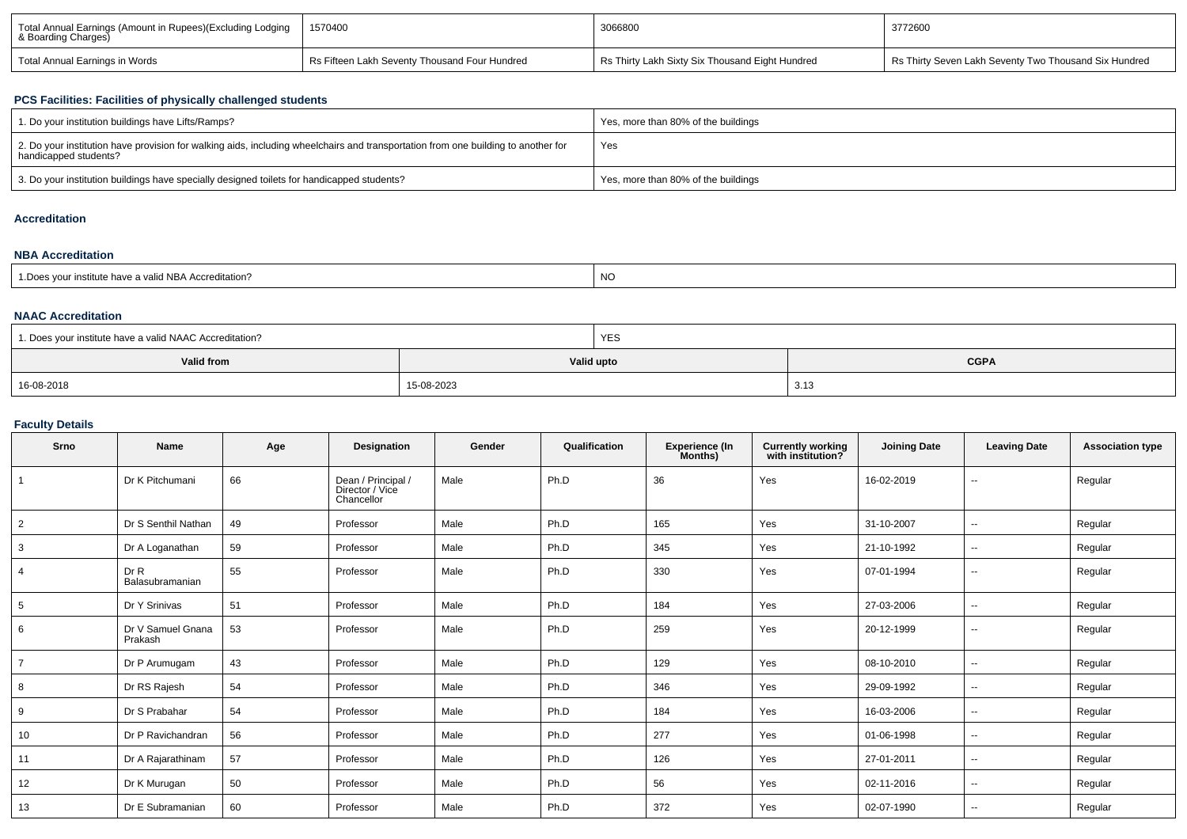| Total Annual Earnings (Amount in Rupees)(Excluding Lodging<br>& Boarding Charges) | 1570400                                       |                                                 | 3772600                                               |
|-----------------------------------------------------------------------------------|-----------------------------------------------|-------------------------------------------------|-------------------------------------------------------|
| Total Annual Earnings in Words                                                    | Rs Fifteen Lakh Seventy Thousand Four Hundred | Rs Thirty Lakh Sixty Six Thousand Eight Hundred | Rs Thirty Seven Lakh Seventy Two Thousand Six Hundred |

## **PCS Facilities: Facilities of physically challenged students**

| 1. Do your institution buildings have Lifts/Ramps?                                                                                                         | Yes, more than 80% of the buildings |
|------------------------------------------------------------------------------------------------------------------------------------------------------------|-------------------------------------|
| 2. Do your institution have provision for walking aids, including wheelchairs and transportation from one building to another for<br>handicapped students? | Yes                                 |
| 3. Do your institution buildings have specially designed toilets for handicapped students?                                                                 | Yes, more than 80% of the buildings |

# **Accreditation**

## **NBA Accreditation**

| NO<br>1. Does vour institute have a valid NBA Accreditation? |  |
|--------------------------------------------------------------|--|
|--------------------------------------------------------------|--|

## **NAAC Accreditation**

| 1. Does your institute have a valid NAAC Accreditation? |            | <b>YES</b> |             |  |  |  |
|---------------------------------------------------------|------------|------------|-------------|--|--|--|
| <b>Valid from</b>                                       |            | Valid upto | <b>CGPA</b> |  |  |  |
| 16-08-2018                                              | 15-08-2023 |            | 3.13        |  |  |  |

## **Faculty Details**

| Srno           | <b>Name</b>                  | Age | Designation                                         | Gender | Qualification | <b>Experience (In</b><br>Months) | <b>Currently working</b><br>with institution? | <b>Joining Date</b> | <b>Leaving Date</b>      | <b>Association type</b> |
|----------------|------------------------------|-----|-----------------------------------------------------|--------|---------------|----------------------------------|-----------------------------------------------|---------------------|--------------------------|-------------------------|
| $\overline{1}$ | Dr K Pitchumani              | 66  | Dean / Principal /<br>Director / Vice<br>Chancellor | Male   | Ph.D          | 36                               | Yes                                           | 16-02-2019          | $-$                      | Regular                 |
| $\overline{2}$ | Dr S Senthil Nathan          | 49  | Professor                                           | Male   | Ph.D          | 165                              | Yes                                           | 31-10-2007          | $\overline{\phantom{a}}$ | Regular                 |
| 3              | Dr A Loganathan              | 59  | Professor                                           | Male   | Ph.D          | 345                              | Yes                                           | 21-10-1992          | $\overline{\phantom{a}}$ | Regular                 |
| 4              | Dr R<br>Balasubramanian      | 55  | Professor                                           | Male   | Ph.D          | 330                              | Yes                                           | 07-01-1994          | $\sim$                   | Regular                 |
| 5              | Dr Y Srinivas                | 51  | Professor                                           | Male   | Ph.D          | 184                              | Yes                                           | 27-03-2006          | $\overline{\phantom{a}}$ | Regular                 |
| 6              | Dr V Samuel Gnana<br>Prakash | 53  | Professor                                           | Male   | Ph.D          | 259                              | Yes                                           | 20-12-1999          | $\sim$                   | Regular                 |
| $\overline{7}$ | Dr P Arumugam                | 43  | Professor                                           | Male   | Ph.D          | 129                              | Yes                                           | 08-10-2010          | $\sim$                   | Regular                 |
| 8              | Dr RS Rajesh                 | 54  | Professor                                           | Male   | Ph.D          | 346                              | Yes                                           | 29-09-1992          | $\sim$                   | Regular                 |
| 9              | Dr S Prabahar                | 54  | Professor                                           | Male   | Ph.D          | 184                              | Yes                                           | 16-03-2006          | $\overline{\phantom{a}}$ | Regular                 |
| 10             | Dr P Ravichandran            | 56  | Professor                                           | Male   | Ph.D          | 277                              | Yes                                           | 01-06-1998          | $\sim$                   | Regular                 |
| 11             | Dr A Rajarathinam            | 57  | Professor                                           | Male   | Ph.D          | 126                              | Yes                                           | 27-01-2011          | $\overline{\phantom{a}}$ | Regular                 |
| 12             | Dr K Murugan                 | 50  | Professor                                           | Male   | Ph.D          | 56                               | Yes                                           | 02-11-2016          | $\overline{\phantom{a}}$ | Regular                 |
| 13             | Dr E Subramanian             | 60  | Professor                                           | Male   | Ph.D          | 372                              | Yes                                           | 02-07-1990          | $\sim$                   | Regular                 |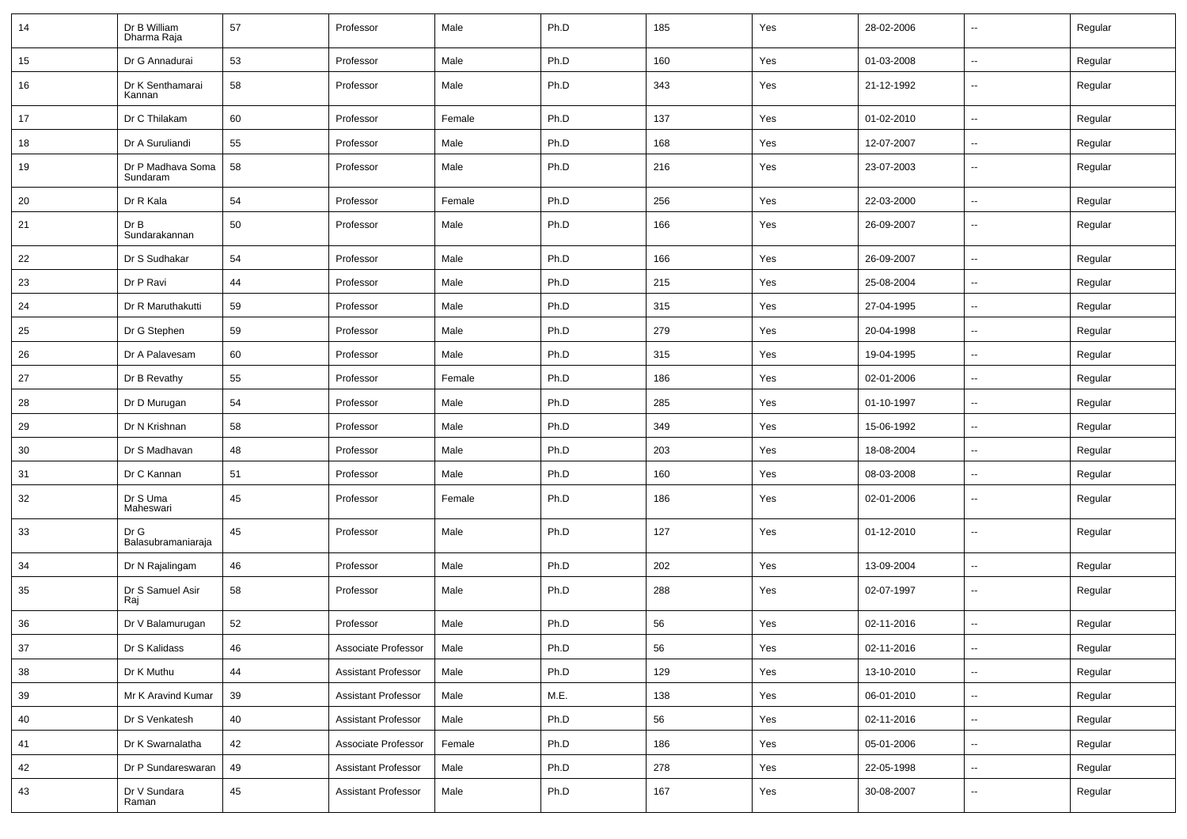| 14 | Dr B William<br>Dharma Raja   | 57 | Professor                  | Male   | Ph.D | 185 | Yes | 28-02-2006 | $\sim$                   | Regular |
|----|-------------------------------|----|----------------------------|--------|------|-----|-----|------------|--------------------------|---------|
| 15 | Dr G Annadurai                | 53 | Professor                  | Male   | Ph.D | 160 | Yes | 01-03-2008 | $\sim$                   | Regular |
| 16 | Dr K Senthamarai<br>Kannan    | 58 | Professor                  | Male   | Ph.D | 343 | Yes | 21-12-1992 | $\sim$                   | Regular |
| 17 | Dr C Thilakam                 | 60 | Professor                  | Female | Ph.D | 137 | Yes | 01-02-2010 | $\sim$                   | Regular |
| 18 | Dr A Suruliandi               | 55 | Professor                  | Male   | Ph.D | 168 | Yes | 12-07-2007 | $\sim$                   | Regular |
| 19 | Dr P Madhava Soma<br>Sundaram | 58 | Professor                  | Male   | Ph.D | 216 | Yes | 23-07-2003 | $\overline{\phantom{a}}$ | Regular |
| 20 | Dr R Kala                     | 54 | Professor                  | Female | Ph.D | 256 | Yes | 22-03-2000 | $\sim$                   | Regular |
| 21 | Dr B<br>Sundarakannan         | 50 | Professor                  | Male   | Ph.D | 166 | Yes | 26-09-2007 | $\sim$                   | Regular |
| 22 | Dr S Sudhakar                 | 54 | Professor                  | Male   | Ph.D | 166 | Yes | 26-09-2007 | $\sim$                   | Regular |
| 23 | Dr P Ravi                     | 44 | Professor                  | Male   | Ph.D | 215 | Yes | 25-08-2004 | $\sim$                   | Regular |
| 24 | Dr R Maruthakutti             | 59 | Professor                  | Male   | Ph.D | 315 | Yes | 27-04-1995 | $\sim$                   | Regular |
| 25 | Dr G Stephen                  | 59 | Professor                  | Male   | Ph.D | 279 | Yes | 20-04-1998 | $\sim$                   | Regular |
| 26 | Dr A Palavesam                | 60 | Professor                  | Male   | Ph.D | 315 | Yes | 19-04-1995 | $\sim$                   | Regular |
| 27 | Dr B Revathy                  | 55 | Professor                  | Female | Ph.D | 186 | Yes | 02-01-2006 | $\sim$                   | Regular |
| 28 | Dr D Murugan                  | 54 | Professor                  | Male   | Ph.D | 285 | Yes | 01-10-1997 | $\sim$                   | Regular |
| 29 | Dr N Krishnan                 | 58 | Professor                  | Male   | Ph.D | 349 | Yes | 15-06-1992 | $\sim$                   | Regular |
| 30 | Dr S Madhavan                 | 48 | Professor                  | Male   | Ph.D | 203 | Yes | 18-08-2004 | $\sim$                   | Regular |
| 31 | Dr C Kannan                   | 51 | Professor                  | Male   | Ph.D | 160 | Yes | 08-03-2008 | $\sim$                   | Regular |
| 32 | Dr S Uma<br>Maheswari         | 45 | Professor                  | Female | Ph.D | 186 | Yes | 02-01-2006 | $\sim$                   | Regular |
| 33 | Dr G<br>Balasubramaniaraja    | 45 | Professor                  | Male   | Ph.D | 127 | Yes | 01-12-2010 | $\sim$                   | Regular |
| 34 | Dr N Rajalingam               | 46 | Professor                  | Male   | Ph.D | 202 | Yes | 13-09-2004 | $\sim$                   | Regular |
| 35 | Dr S Samuel Asir<br>Raj       | 58 | Professor                  | Male   | Ph.D | 288 | Yes | 02-07-1997 | $\overline{\phantom{a}}$ | Regular |
| 36 | Dr V Balamurugan              | 52 | Professor                  | Male   | Ph.D | 56  | Yes | 02-11-2016 | $\sim$                   | Regular |
| 37 | Dr S Kalidass                 | 46 | Associate Professor        | Male   | Ph.D | 56  | Yes | 02-11-2016 |                          | Regular |
| 38 | Dr K Muthu                    | 44 | <b>Assistant Professor</b> | Male   | Ph.D | 129 | Yes | 13-10-2010 | $\sim$                   | Regular |
| 39 | Mr K Aravind Kumar            | 39 | <b>Assistant Professor</b> | Male   | M.E. | 138 | Yes | 06-01-2010 | $\sim$                   | Regular |
| 40 | Dr S Venkatesh                | 40 | <b>Assistant Professor</b> | Male   | Ph.D | 56  | Yes | 02-11-2016 | $\sim$                   | Regular |
| 41 | Dr K Swarnalatha              | 42 | Associate Professor        | Female | Ph.D | 186 | Yes | 05-01-2006 | $\sim$                   | Regular |
| 42 | Dr P Sundareswaran            | 49 | <b>Assistant Professor</b> | Male   | Ph.D | 278 | Yes | 22-05-1998 | $\sim$                   | Regular |
| 43 | Dr V Sundara<br>Raman         | 45 | <b>Assistant Professor</b> | Male   | Ph.D | 167 | Yes | 30-08-2007 | $\sim$                   | Regular |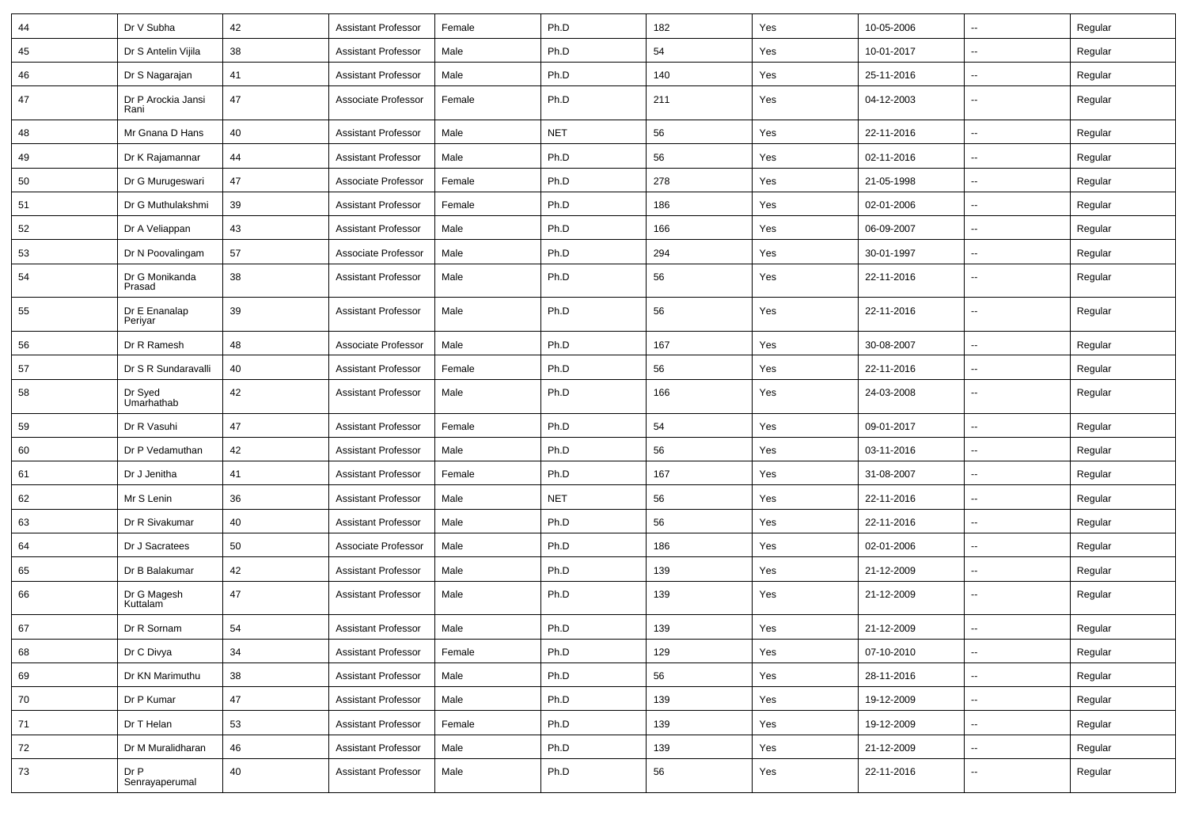| 44 | Dr V Subha                 | 42 | <b>Assistant Professor</b> | Female | Ph.D       | 182 | Yes | 10-05-2006 | $\overline{\phantom{a}}$ | Regular |
|----|----------------------------|----|----------------------------|--------|------------|-----|-----|------------|--------------------------|---------|
| 45 | Dr S Antelin Vijila        | 38 | <b>Assistant Professor</b> | Male   | Ph.D       | 54  | Yes | 10-01-2017 | Ξ.                       | Regular |
| 46 | Dr S Nagarajan             | 41 | <b>Assistant Professor</b> | Male   | Ph.D       | 140 | Yes | 25-11-2016 | $\overline{\phantom{a}}$ | Regular |
| 47 | Dr P Arockia Jansi<br>Rani | 47 | Associate Professor        | Female | Ph.D       | 211 | Yes | 04-12-2003 | $\sim$                   | Regular |
| 48 | Mr Gnana D Hans            | 40 | <b>Assistant Professor</b> | Male   | <b>NET</b> | 56  | Yes | 22-11-2016 | $\overline{\phantom{a}}$ | Regular |
| 49 | Dr K Rajamannar            | 44 | <b>Assistant Professor</b> | Male   | Ph.D       | 56  | Yes | 02-11-2016 | $\sim$                   | Regular |
| 50 | Dr G Murugeswari           | 47 | Associate Professor        | Female | Ph.D       | 278 | Yes | 21-05-1998 | $\overline{\phantom{a}}$ | Regular |
| 51 | Dr G Muthulakshmi          | 39 | <b>Assistant Professor</b> | Female | Ph.D       | 186 | Yes | 02-01-2006 | ⊷.                       | Regular |
| 52 | Dr A Veliappan             | 43 | <b>Assistant Professor</b> | Male   | Ph.D       | 166 | Yes | 06-09-2007 | $\overline{\phantom{a}}$ | Regular |
| 53 | Dr N Poovalingam           | 57 | Associate Professor        | Male   | Ph.D       | 294 | Yes | 30-01-1997 | --                       | Regular |
| 54 | Dr G Monikanda<br>Prasad   | 38 | <b>Assistant Professor</b> | Male   | Ph.D       | 56  | Yes | 22-11-2016 | -−                       | Regular |
| 55 | Dr E Enanalap<br>Periyar   | 39 | <b>Assistant Professor</b> | Male   | Ph.D       | 56  | Yes | 22-11-2016 | --                       | Regular |
| 56 | Dr R Ramesh                | 48 | Associate Professor        | Male   | Ph.D       | 167 | Yes | 30-08-2007 | -−                       | Regular |
| 57 | Dr S R Sundaravalli        | 40 | <b>Assistant Professor</b> | Female | Ph.D       | 56  | Yes | 22-11-2016 | Ξ.                       | Regular |
| 58 | Dr Syed<br>Umarhathab      | 42 | <b>Assistant Professor</b> | Male   | Ph.D       | 166 | Yes | 24-03-2008 | $\overline{\phantom{a}}$ | Regular |
| 59 | Dr R Vasuhi                | 47 | <b>Assistant Professor</b> | Female | Ph.D       | 54  | Yes | 09-01-2017 | Ξ.                       | Regular |
| 60 | Dr P Vedamuthan            | 42 | <b>Assistant Professor</b> | Male   | Ph.D       | 56  | Yes | 03-11-2016 | ⊶.                       | Regular |
| 61 | Dr J Jenitha               | 41 | <b>Assistant Professor</b> | Female | Ph.D       | 167 | Yes | 31-08-2007 | Ξ.                       | Regular |
| 62 | Mr S Lenin                 | 36 | <b>Assistant Professor</b> | Male   | <b>NET</b> | 56  | Yes | 22-11-2016 | $\overline{\phantom{a}}$ | Regular |
| 63 | Dr R Sivakumar             | 40 | <b>Assistant Professor</b> | Male   | Ph.D       | 56  | Yes | 22-11-2016 | --                       | Regular |
| 64 | Dr J Sacratees             | 50 | Associate Professor        | Male   | Ph.D       | 186 | Yes | 02-01-2006 | Ξ.                       | Regular |
| 65 | Dr B Balakumar             | 42 | <b>Assistant Professor</b> | Male   | Ph.D       | 139 | Yes | 21-12-2009 | $\overline{\phantom{a}}$ | Regular |
| 66 | Dr G Magesh<br>Kuttalam    | 47 | <b>Assistant Professor</b> | Male   | Ph.D       | 139 | Yes | 21-12-2009 | −−                       | Regular |
| 67 | Dr R Sornam                | 54 | <b>Assistant Professor</b> | Male   | Ph.D       | 139 | Yes | 21-12-2009 | $\overline{\phantom{a}}$ | Regular |
| 68 | Dr C Divya                 | 34 | <b>Assistant Professor</b> | Female | Ph.D       | 129 | Yes | 07-10-2010 | н,                       | Regular |
| 69 | Dr KN Marimuthu            | 38 | <b>Assistant Professor</b> | Male   | Ph.D       | 56  | Yes | 28-11-2016 | $\sim$                   | Regular |
| 70 | Dr P Kumar                 | 47 | <b>Assistant Professor</b> | Male   | Ph.D       | 139 | Yes | 19-12-2009 | --                       | Regular |
| 71 | Dr T Helan                 | 53 | <b>Assistant Professor</b> | Female | Ph.D       | 139 | Yes | 19-12-2009 | $\overline{\phantom{a}}$ | Regular |
| 72 | Dr M Muralidharan          | 46 | <b>Assistant Professor</b> | Male   | Ph.D       | 139 | Yes | 21-12-2009 | $\sim$                   | Regular |
| 73 | Dr P<br>Senrayaperumal     | 40 | <b>Assistant Professor</b> | Male   | Ph.D       | 56  | Yes | 22-11-2016 | ⊶.                       | Regular |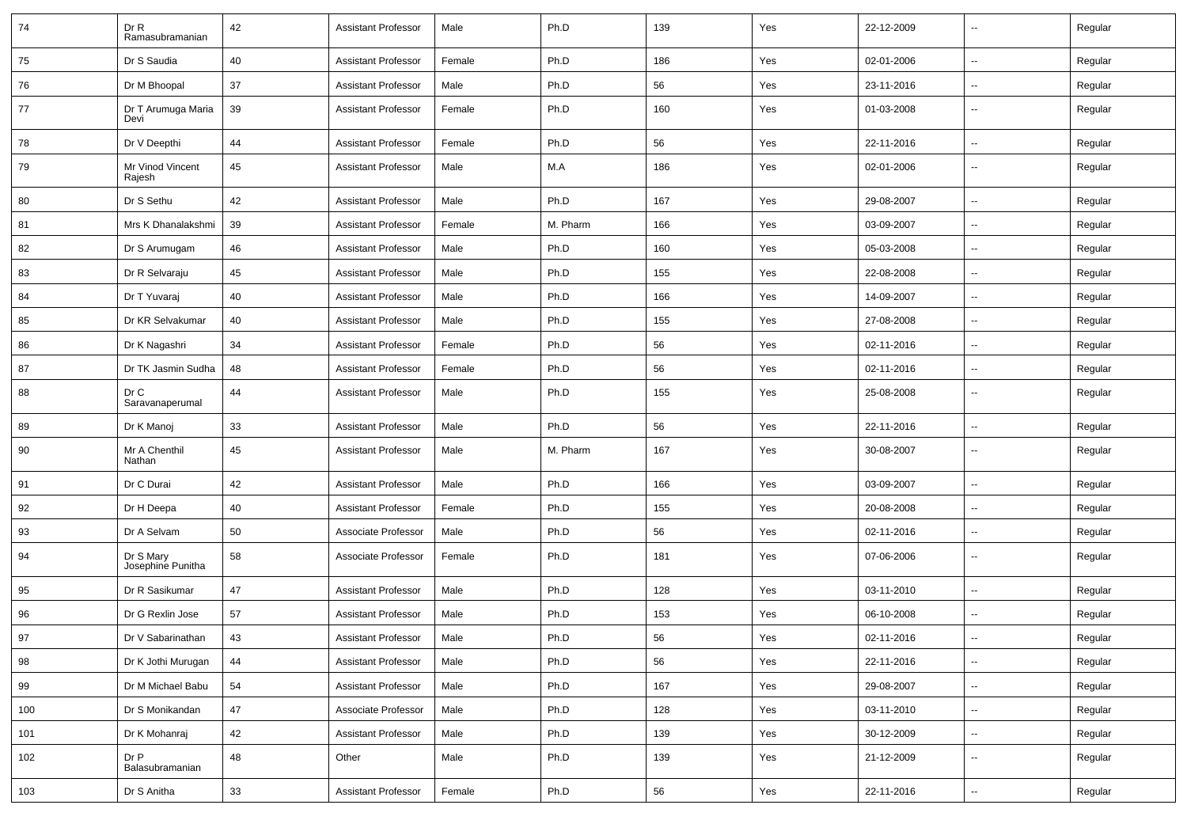| 74  | Dr R<br>Ramasubramanian        | 42     | <b>Assistant Professor</b> | Male   | Ph.D     | 139 | Yes | 22-12-2009 |                          | Regular |
|-----|--------------------------------|--------|----------------------------|--------|----------|-----|-----|------------|--------------------------|---------|
| 75  | Dr S Saudia                    | 40     | <b>Assistant Professor</b> | Female | Ph.D     | 186 | Yes | 02-01-2006 | Ξ.                       | Regular |
| 76  | Dr M Bhoopal                   | 37     | <b>Assistant Professor</b> | Male   | Ph.D     | 56  | Yes | 23-11-2016 | $\sim$                   | Regular |
| 77  | Dr T Arumuga Maria<br>Devi     | 39     | <b>Assistant Professor</b> | Female | Ph.D     | 160 | Yes | 01-03-2008 | --                       | Regular |
| 78  | Dr V Deepthi                   | 44     | <b>Assistant Professor</b> | Female | Ph.D     | 56  | Yes | 22-11-2016 | Ξ.                       | Regular |
| 79  | Mr Vinod Vincent<br>Rajesh     | 45     | <b>Assistant Professor</b> | Male   | M.A      | 186 | Yes | 02-01-2006 | $\overline{\phantom{a}}$ | Regular |
| 80  | Dr S Sethu                     | 42     | <b>Assistant Professor</b> | Male   | Ph.D     | 167 | Yes | 29-08-2007 | $\overline{a}$           | Regular |
| 81  | Mrs K Dhanalakshmi             | 39     | <b>Assistant Professor</b> | Female | M. Pharm | 166 | Yes | 03-09-2007 | $\sim$                   | Regular |
| 82  | Dr S Arumugam                  | 46     | <b>Assistant Professor</b> | Male   | Ph.D     | 160 | Yes | 05-03-2008 | $\sim$                   | Regular |
| 83  | Dr R Selvaraju                 | 45     | <b>Assistant Professor</b> | Male   | Ph.D     | 155 | Yes | 22-08-2008 | $\sim$                   | Regular |
| 84  | Dr T Yuvaraj                   | 40     | <b>Assistant Professor</b> | Male   | Ph.D     | 166 | Yes | 14-09-2007 | $\sim$                   | Regular |
| 85  | Dr KR Selvakumar               | 40     | <b>Assistant Professor</b> | Male   | Ph.D     | 155 | Yes | 27-08-2008 | $\overline{a}$           | Regular |
| 86  | Dr K Nagashri                  | 34     | <b>Assistant Professor</b> | Female | Ph.D     | 56  | Yes | 02-11-2016 | $\overline{a}$           | Regular |
| 87  | Dr TK Jasmin Sudha             | 48     | <b>Assistant Professor</b> | Female | Ph.D     | 56  | Yes | 02-11-2016 | $\sim$                   | Regular |
| 88  | Dr C<br>Saravanaperumal        | 44     | <b>Assistant Professor</b> | Male   | Ph.D     | 155 | Yes | 25-08-2008 | $\sim$                   | Regular |
| 89  | Dr K Manoj                     | 33     | <b>Assistant Professor</b> | Male   | Ph.D     | 56  | Yes | 22-11-2016 | $\sim$                   | Regular |
| 90  | Mr A Chenthil<br>Nathan        | 45     | <b>Assistant Professor</b> | Male   | M. Pharm | 167 | Yes | 30-08-2007 | Ξ.                       | Regular |
| 91  | Dr C Durai                     | 42     | <b>Assistant Professor</b> | Male   | Ph.D     | 166 | Yes | 03-09-2007 | Ξ.                       | Regular |
| 92  | Dr H Deepa                     | 40     | <b>Assistant Professor</b> | Female | Ph.D     | 155 | Yes | 20-08-2008 | $\sim$                   | Regular |
| 93  | Dr A Selvam                    | 50     | Associate Professor        | Male   | Ph.D     | 56  | Yes | 02-11-2016 | $\overline{\phantom{a}}$ | Regular |
| 94  | Dr S Mary<br>Josephine Punitha | 58     | Associate Professor        | Female | Ph.D     | 181 | Yes | 07-06-2006 | $\overline{\phantom{a}}$ | Regular |
| 95  | Dr R Sasikumar                 | 47     | <b>Assistant Professor</b> | Male   | Ph.D     | 128 | Yes | 03-11-2010 | $\overline{a}$           | Regular |
| 96  | Dr G Rexlin Jose               | 57     | <b>Assistant Professor</b> | Male   | Ph.D     | 153 | Yes | 06-10-2008 | $\sim$                   | Regular |
| 97  | Dr V Sabarinathan              | 43     | <b>Assistant Professor</b> | Male   | Ph.D     | 56  | Yes | 02-11-2016 | ш.                       | Regular |
| 98  | Dr K Jothi Murugan             | 44     | <b>Assistant Professor</b> | Male   | Ph.D     | 56  | Yes | 22-11-2016 | $\overline{\phantom{a}}$ | Regular |
| 99  | Dr M Michael Babu              | 54     | <b>Assistant Professor</b> | Male   | Ph.D     | 167 | Yes | 29-08-2007 | $\sim$                   | Regular |
| 100 | Dr S Monikandan                | 47     | Associate Professor        | Male   | Ph.D     | 128 | Yes | 03-11-2010 | $\overline{\phantom{a}}$ | Regular |
| 101 | Dr K Mohanraj                  | 42     | <b>Assistant Professor</b> | Male   | Ph.D     | 139 | Yes | 30-12-2009 | ш.                       | Regular |
| 102 | Dr P<br>Balasubramanian        | 48     | Other                      | Male   | Ph.D     | 139 | Yes | 21-12-2009 | $\overline{\phantom{a}}$ | Regular |
| 103 | Dr S Anitha                    | $33\,$ | <b>Assistant Professor</b> | Female | Ph.D     | 56  | Yes | 22-11-2016 | ц.                       | Regular |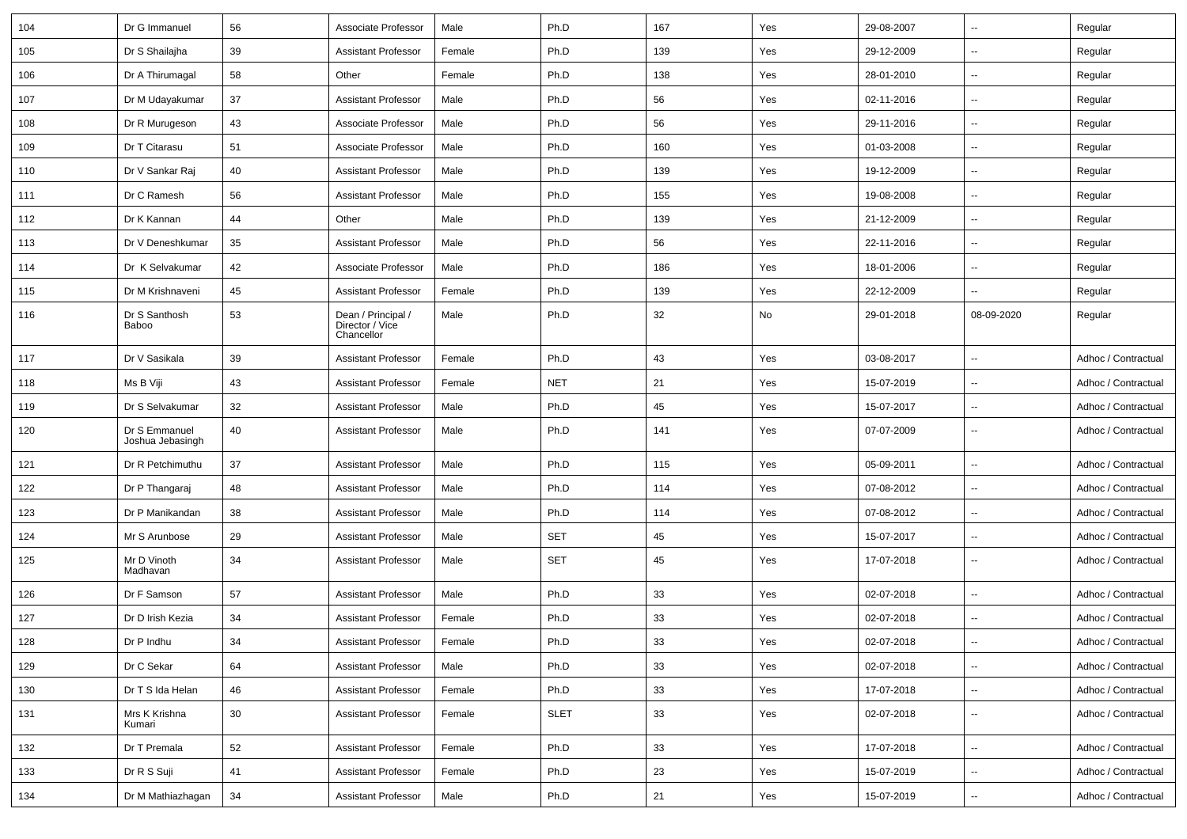| 104 | Dr G Immanuel                     | 56 | Associate Professor                                 | Male   | Ph.D        | 167 | Yes | 29-08-2007 | ⊷.                       | Regular             |
|-----|-----------------------------------|----|-----------------------------------------------------|--------|-------------|-----|-----|------------|--------------------------|---------------------|
| 105 | Dr S Shailajha                    | 39 | <b>Assistant Professor</b>                          | Female | Ph.D        | 139 | Yes | 29-12-2009 | -−                       | Regular             |
| 106 | Dr A Thirumagal                   | 58 | Other                                               | Female | Ph.D        | 138 | Yes | 28-01-2010 | н.                       | Regular             |
| 107 | Dr M Udayakumar                   | 37 | <b>Assistant Professor</b>                          | Male   | Ph.D        | 56  | Yes | 02-11-2016 | --                       | Regular             |
| 108 | Dr R Murugeson                    | 43 | Associate Professor                                 | Male   | Ph.D        | 56  | Yes | 29-11-2016 | --                       | Regular             |
| 109 | Dr T Citarasu                     | 51 | Associate Professor                                 | Male   | Ph.D        | 160 | Yes | 01-03-2008 | $\overline{\phantom{a}}$ | Regular             |
| 110 | Dr V Sankar Raj                   | 40 | <b>Assistant Professor</b>                          | Male   | Ph.D        | 139 | Yes | 19-12-2009 | $\overline{\phantom{a}}$ | Regular             |
| 111 | Dr C Ramesh                       | 56 | <b>Assistant Professor</b>                          | Male   | Ph.D        | 155 | Yes | 19-08-2008 | -−                       | Regular             |
| 112 | Dr K Kannan                       | 44 | Other                                               | Male   | Ph.D        | 139 | Yes | 21-12-2009 | н.                       | Regular             |
| 113 | Dr V Deneshkumar                  | 35 | <b>Assistant Professor</b>                          | Male   | Ph.D        | 56  | Yes | 22-11-2016 | $\overline{\phantom{a}}$ | Regular             |
| 114 | Dr K Selvakumar                   | 42 | Associate Professor                                 | Male   | Ph.D        | 186 | Yes | 18-01-2006 |                          | Regular             |
| 115 | Dr M Krishnaveni                  | 45 | <b>Assistant Professor</b>                          | Female | Ph.D        | 139 | Yes | 22-12-2009 | -−                       | Regular             |
| 116 | Dr S Santhosh<br><b>Baboo</b>     | 53 | Dean / Principal /<br>Director / Vice<br>Chancellor | Male   | Ph.D        | 32  | No  | 29-01-2018 | 08-09-2020               | Regular             |
| 117 | Dr V Sasikala                     | 39 | <b>Assistant Professor</b>                          | Female | Ph.D        | 43  | Yes | 03-08-2017 | $\sim$                   | Adhoc / Contractual |
| 118 | Ms B Viji                         | 43 | <b>Assistant Professor</b>                          | Female | <b>NET</b>  | 21  | Yes | 15-07-2019 | ⊷.                       | Adhoc / Contractual |
| 119 | Dr S Selvakumar                   | 32 | <b>Assistant Professor</b>                          | Male   | Ph.D        | 45  | Yes | 15-07-2017 | --                       | Adhoc / Contractual |
| 120 | Dr S Emmanuel<br>Joshua Jebasingh | 40 | <b>Assistant Professor</b>                          | Male   | Ph.D        | 141 | Yes | 07-07-2009 | $\overline{\phantom{a}}$ | Adhoc / Contractual |
| 121 | Dr R Petchimuthu                  | 37 | <b>Assistant Professor</b>                          | Male   | Ph.D        | 115 | Yes | 05-09-2011 | ⊷.                       | Adhoc / Contractual |
| 122 | Dr P Thangaraj                    | 48 | <b>Assistant Professor</b>                          | Male   | Ph.D        | 114 | Yes | 07-08-2012 | --                       | Adhoc / Contractual |
| 123 | Dr P Manikandan                   | 38 | <b>Assistant Professor</b>                          | Male   | Ph.D        | 114 | Yes | 07-08-2012 | --                       | Adhoc / Contractual |
| 124 | Mr S Arunbose                     | 29 | Assistant Professor                                 | Male   | <b>SET</b>  | 45  | Yes | 15-07-2017 | $\overline{\phantom{a}}$ | Adhoc / Contractual |
| 125 | Mr D Vinoth<br>Madhavan           | 34 | <b>Assistant Professor</b>                          | Male   | <b>SET</b>  | 45  | Yes | 17-07-2018 | −−                       | Adhoc / Contractual |
| 126 | Dr F Samson                       | 57 | <b>Assistant Professor</b>                          | Male   | Ph.D        | 33  | Yes | 02-07-2018 | $\overline{\phantom{a}}$ | Adhoc / Contractual |
| 127 | Dr D Irish Kezia                  | 34 | <b>Assistant Professor</b>                          | Female | Ph.D        | 33  | Yes | 02-07-2018 | -−                       | Adhoc / Contractual |
| 128 | Dr P Indhu                        | 34 | <b>Assistant Professor</b>                          | Female | Ph.D        | 33  | Yes | 02-07-2018 | ⊷.                       | Adhoc / Contractual |
| 129 | Dr C Sekar                        | 64 | <b>Assistant Professor</b>                          | Male   | Ph.D        | 33  | Yes | 02-07-2018 | -−                       | Adhoc / Contractual |
| 130 | Dr T S Ida Helan                  | 46 | <b>Assistant Professor</b>                          | Female | Ph.D        | 33  | Yes | 17-07-2018 | -−                       | Adhoc / Contractual |
| 131 | Mrs K Krishna<br>Kumari           | 30 | <b>Assistant Professor</b>                          | Female | <b>SLET</b> | 33  | Yes | 02-07-2018 | Щ,                       | Adhoc / Contractual |
| 132 | Dr T Premala                      | 52 | <b>Assistant Professor</b>                          | Female | Ph.D        | 33  | Yes | 17-07-2018 | Щ,                       | Adhoc / Contractual |
| 133 | Dr R S Suji                       | 41 | <b>Assistant Professor</b>                          | Female | Ph.D        | 23  | Yes | 15-07-2019 | $\sim$                   | Adhoc / Contractual |
| 134 | Dr M Mathiazhagan                 | 34 | <b>Assistant Professor</b>                          | Male   | Ph.D        | 21  | Yes | 15-07-2019 | $\sim$                   | Adhoc / Contractual |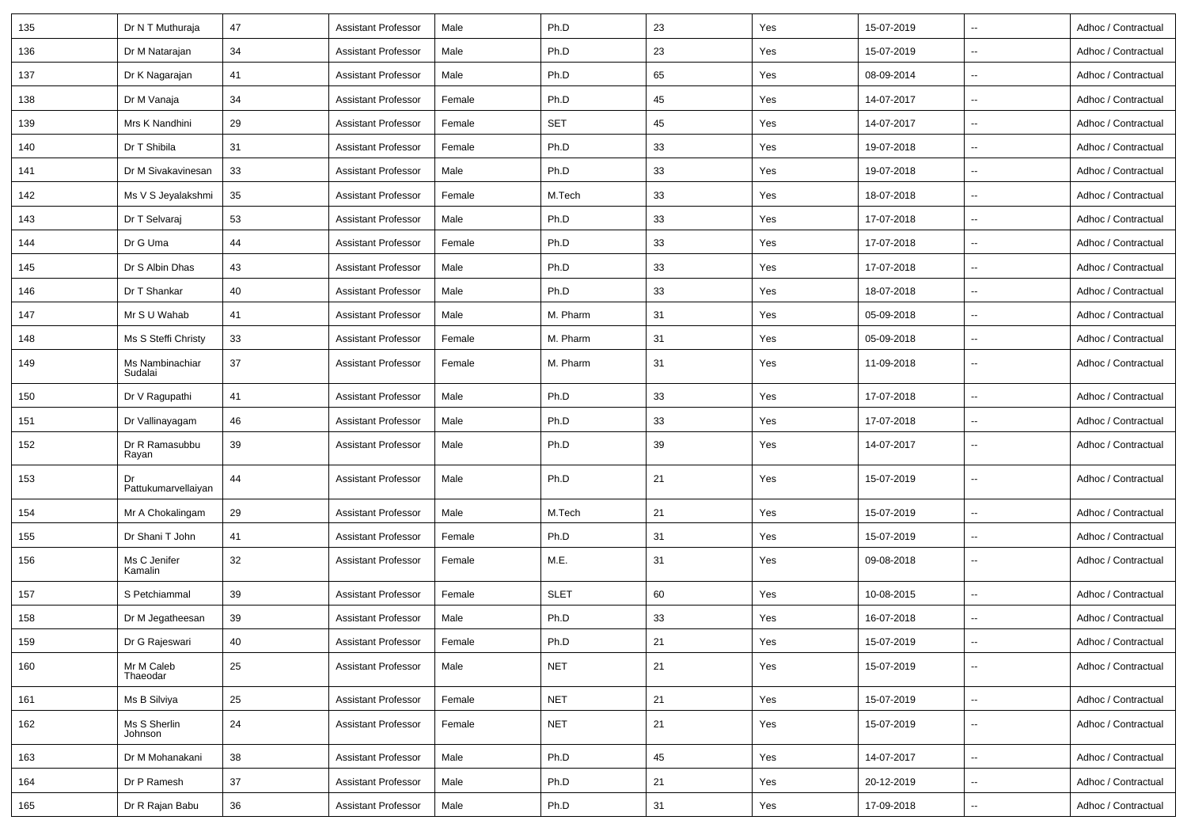| 135 | Dr N T Muthuraja           | 47 | <b>Assistant Professor</b> | Male   | Ph.D        | 23 | Yes | 15-07-2019 | $\mathbf{u}$             | Adhoc / Contractual |
|-----|----------------------------|----|----------------------------|--------|-------------|----|-----|------------|--------------------------|---------------------|
| 136 | Dr M Natarajan             | 34 | <b>Assistant Professor</b> | Male   | Ph.D        | 23 | Yes | 15-07-2019 | $\sim$                   | Adhoc / Contractual |
| 137 | Dr K Nagarajan             | 41 | <b>Assistant Professor</b> | Male   | Ph.D        | 65 | Yes | 08-09-2014 | $\sim$                   | Adhoc / Contractual |
| 138 | Dr M Vanaja                | 34 | <b>Assistant Professor</b> | Female | Ph.D        | 45 | Yes | 14-07-2017 | -−                       | Adhoc / Contractual |
| 139 | Mrs K Nandhini             | 29 | <b>Assistant Professor</b> | Female | SET         | 45 | Yes | 14-07-2017 | $\sim$                   | Adhoc / Contractual |
| 140 | Dr T Shibila               | 31 | <b>Assistant Professor</b> | Female | Ph.D        | 33 | Yes | 19-07-2018 | $\sim$                   | Adhoc / Contractual |
| 141 | Dr M Sivakavinesan         | 33 | <b>Assistant Professor</b> | Male   | Ph.D        | 33 | Yes | 19-07-2018 | $\sim$                   | Adhoc / Contractual |
| 142 | Ms V S Jeyalakshmi         | 35 | Assistant Professor        | Female | M.Tech      | 33 | Yes | 18-07-2018 | $\sim$                   | Adhoc / Contractual |
| 143 | Dr T Selvaraj              | 53 | <b>Assistant Professor</b> | Male   | Ph.D        | 33 | Yes | 17-07-2018 | $\sim$                   | Adhoc / Contractual |
| 144 | Dr G Uma                   | 44 | <b>Assistant Professor</b> | Female | Ph.D        | 33 | Yes | 17-07-2018 | $\overline{\phantom{a}}$ | Adhoc / Contractual |
| 145 | Dr S Albin Dhas            | 43 | <b>Assistant Professor</b> | Male   | Ph.D        | 33 | Yes | 17-07-2018 | --                       | Adhoc / Contractual |
| 146 | Dr T Shankar               | 40 | <b>Assistant Professor</b> | Male   | Ph.D        | 33 | Yes | 18-07-2018 | $\sim$                   | Adhoc / Contractual |
| 147 | Mr S U Wahab               | 41 | <b>Assistant Professor</b> | Male   | M. Pharm    | 31 | Yes | 05-09-2018 | $\sim$                   | Adhoc / Contractual |
| 148 | Ms S Steffi Christy        | 33 | <b>Assistant Professor</b> | Female | M. Pharm    | 31 | Yes | 05-09-2018 | $\sim$                   | Adhoc / Contractual |
| 149 | Ms Nambinachiar<br>Sudalai | 37 | <b>Assistant Professor</b> | Female | M. Pharm    | 31 | Yes | 11-09-2018 | $\sim$                   | Adhoc / Contractual |
| 150 | Dr V Ragupathi             | 41 | <b>Assistant Professor</b> | Male   | Ph.D        | 33 | Yes | 17-07-2018 | $\sim$                   | Adhoc / Contractual |
| 151 | Dr Vallinayagam            | 46 | <b>Assistant Professor</b> | Male   | Ph.D        | 33 | Yes | 17-07-2018 | $\sim$                   | Adhoc / Contractual |
| 152 | Dr R Ramasubbu<br>Rayan    | 39 | <b>Assistant Professor</b> | Male   | Ph.D        | 39 | Yes | 14-07-2017 | $\overline{\phantom{a}}$ | Adhoc / Contractual |
| 153 | Dr<br>Pattukumarvellaiyan  | 44 | <b>Assistant Professor</b> | Male   | Ph.D        | 21 | Yes | 15-07-2019 | $\overline{\phantom{a}}$ | Adhoc / Contractual |
| 154 | Mr A Chokalingam           | 29 | <b>Assistant Professor</b> | Male   | M.Tech      | 21 | Yes | 15-07-2019 | $\overline{\phantom{a}}$ | Adhoc / Contractual |
| 155 | Dr Shani T John            | 41 | <b>Assistant Professor</b> | Female | Ph.D        | 31 | Yes | 15-07-2019 | Ξ.                       | Adhoc / Contractual |
| 156 | Ms C Jenifer<br>Kamalin    | 32 | <b>Assistant Professor</b> | Female | M.E.        | 31 | Yes | 09-08-2018 | $\overline{\phantom{a}}$ | Adhoc / Contractual |
| 157 | S Petchiammal              | 39 | <b>Assistant Professor</b> | Female | <b>SLET</b> | 60 | Yes | 10-08-2015 | $\overline{\phantom{a}}$ | Adhoc / Contractual |
| 158 | Dr M Jegatheesan           | 39 | <b>Assistant Professor</b> | Male   | Ph.D        | 33 | Yes | 16-07-2018 | $\sim$                   | Adhoc / Contractual |
| 159 | Dr G Rajeswari             | 40 | Assistant Professor        | Female | Ph.D        | 21 | Yes | 15-07-2019 | $\mathbf{u}$             | Adhoc / Contractual |
| 160 | Mr M Caleb<br>Thaeodar     | 25 | <b>Assistant Professor</b> | Male   | <b>NET</b>  | 21 | Yes | 15-07-2019 | $\sim$                   | Adhoc / Contractual |
| 161 | Ms B Silviya               | 25 | <b>Assistant Professor</b> | Female | <b>NET</b>  | 21 | Yes | 15-07-2019 | Ξ.                       | Adhoc / Contractual |
| 162 | Ms S Sherlin<br>Johnson    | 24 | <b>Assistant Professor</b> | Female | <b>NET</b>  | 21 | Yes | 15-07-2019 | ⊶.                       | Adhoc / Contractual |
| 163 | Dr M Mohanakani            | 38 | <b>Assistant Professor</b> | Male   | Ph.D        | 45 | Yes | 14-07-2017 | $\sim$                   | Adhoc / Contractual |
| 164 | Dr P Ramesh                | 37 | <b>Assistant Professor</b> | Male   | Ph.D        | 21 | Yes | 20-12-2019 | $\sim$                   | Adhoc / Contractual |
| 165 | Dr R Rajan Babu            | 36 | <b>Assistant Professor</b> | Male   | Ph.D        | 31 | Yes | 17-09-2018 | $\sim$                   | Adhoc / Contractual |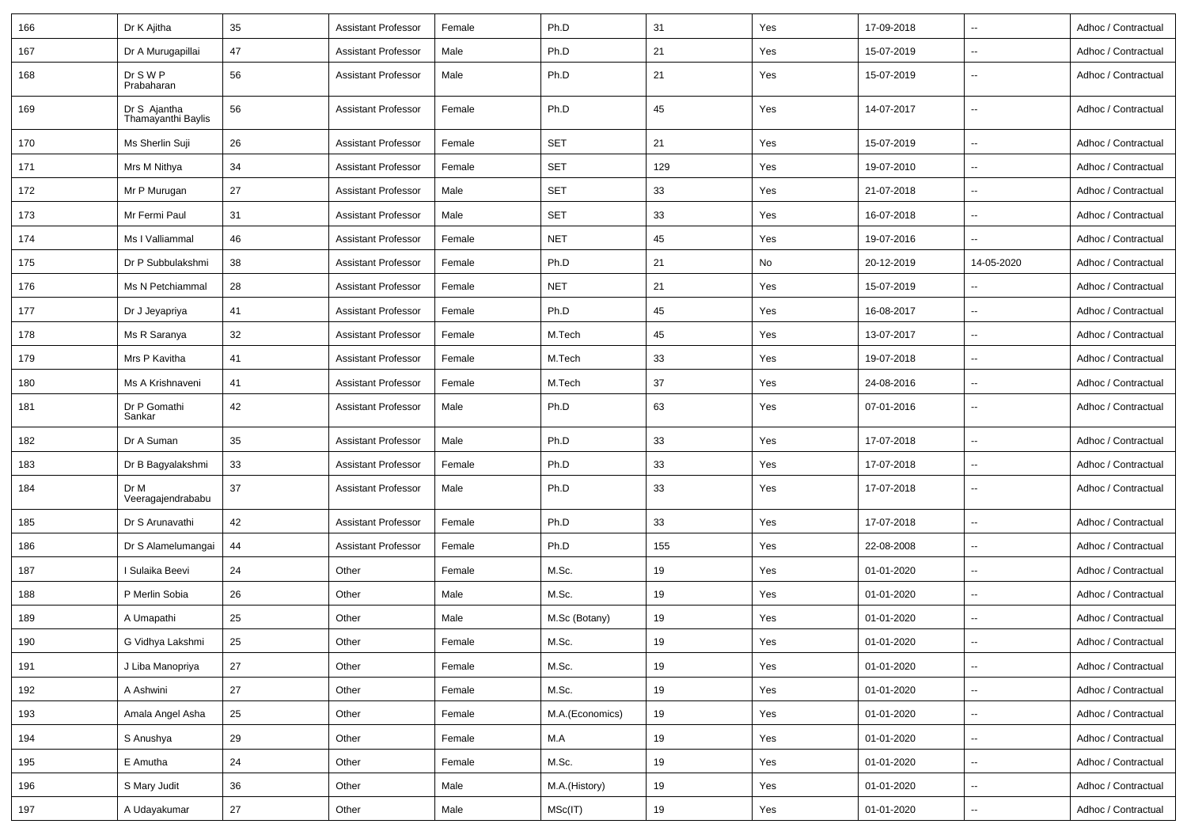| 166 | Dr K Ajitha                        | 35 | Assistant Professor        | Female | Ph.D            | 31  | Yes | 17-09-2018 | Ξ.                       | Adhoc / Contractual |
|-----|------------------------------------|----|----------------------------|--------|-----------------|-----|-----|------------|--------------------------|---------------------|
| 167 | Dr A Murugapillai                  | 47 | Assistant Professor        | Male   | Ph.D            | 21  | Yes | 15-07-2019 | $\overline{\phantom{a}}$ | Adhoc / Contractual |
| 168 | Dr S W P<br>Prabaharan             | 56 | <b>Assistant Professor</b> | Male   | Ph.D            | 21  | Yes | 15-07-2019 | $\overline{\phantom{a}}$ | Adhoc / Contractual |
| 169 | Dr S Ajantha<br>Thamayanthi Baylis | 56 | <b>Assistant Professor</b> | Female | Ph.D            | 45  | Yes | 14-07-2017 | $\sim$                   | Adhoc / Contractual |
| 170 | Ms Sherlin Suji                    | 26 | <b>Assistant Professor</b> | Female | <b>SET</b>      | 21  | Yes | 15-07-2019 | $\overline{\phantom{a}}$ | Adhoc / Contractual |
| 171 | Mrs M Nithya                       | 34 | <b>Assistant Professor</b> | Female | <b>SET</b>      | 129 | Yes | 19-07-2010 | --                       | Adhoc / Contractual |
| 172 | Mr P Murugan                       | 27 | Assistant Professor        | Male   | <b>SET</b>      | 33  | Yes | 21-07-2018 | ۰.                       | Adhoc / Contractual |
| 173 | Mr Fermi Paul                      | 31 | <b>Assistant Professor</b> | Male   | <b>SET</b>      | 33  | Yes | 16-07-2018 | $\sim$                   | Adhoc / Contractual |
| 174 | Ms I Valliammal                    | 46 | Assistant Professor        | Female | <b>NET</b>      | 45  | Yes | 19-07-2016 | --                       | Adhoc / Contractual |
| 175 | Dr P Subbulakshmi                  | 38 | Assistant Professor        | Female | Ph.D            | 21  | No  | 20-12-2019 | 14-05-2020               | Adhoc / Contractual |
| 176 | Ms N Petchiammal                   | 28 | <b>Assistant Professor</b> | Female | <b>NET</b>      | 21  | Yes | 15-07-2019 | --                       | Adhoc / Contractual |
| 177 | Dr J Jeyapriya                     | 41 | <b>Assistant Professor</b> | Female | Ph.D            | 45  | Yes | 16-08-2017 |                          | Adhoc / Contractual |
| 178 | Ms R Saranya                       | 32 | Assistant Professor        | Female | M.Tech          | 45  | Yes | 13-07-2017 | --                       | Adhoc / Contractual |
| 179 | Mrs P Kavitha                      | 41 | Assistant Professor        | Female | M.Tech          | 33  | Yes | 19-07-2018 | $\sim$                   | Adhoc / Contractual |
| 180 | Ms A Krishnaveni                   | 41 | Assistant Professor        | Female | M.Tech          | 37  | Yes | 24-08-2016 | --                       | Adhoc / Contractual |
| 181 | Dr P Gomathi<br>Sankar             | 42 | Assistant Professor        | Male   | Ph.D            | 63  | Yes | 07-01-2016 | ۰.                       | Adhoc / Contractual |
| 182 | Dr A Suman                         | 35 | Assistant Professor        | Male   | Ph.D            | 33  | Yes | 17-07-2018 | $\overline{\phantom{a}}$ | Adhoc / Contractual |
| 183 | Dr B Bagyalakshmi                  | 33 | Assistant Professor        | Female | Ph.D            | 33  | Yes | 17-07-2018 | --                       | Adhoc / Contractual |
| 184 | Dr M<br>Veeragajendrababu          | 37 | <b>Assistant Professor</b> | Male   | Ph.D            | 33  | Yes | 17-07-2018 | Ξ.                       | Adhoc / Contractual |
| 185 | Dr S Arunavathi                    | 42 | <b>Assistant Professor</b> | Female | Ph.D            | 33  | Yes | 17-07-2018 | Ξ.                       | Adhoc / Contractual |
| 186 | Dr S Alamelumangai                 | 44 | Assistant Professor        | Female | Ph.D            | 155 | Yes | 22-08-2008 | ۰.                       | Adhoc / Contractual |
| 187 | I Sulaika Beevi                    | 24 | Other                      | Female | M.Sc.           | 19  | Yes | 01-01-2020 | --                       | Adhoc / Contractual |
| 188 | P Merlin Sobia                     | 26 | Other                      | Male   | M.Sc.           | 19  | Yes | 01-01-2020 | $\sim$                   | Adhoc / Contractual |
| 189 | A Umapathi                         | 25 | Other                      | Male   | M.Sc (Botany)   | 19  | Yes | 01-01-2020 | $\overline{\phantom{a}}$ | Adhoc / Contractual |
| 190 | G Vidhya Lakshmi                   | 25 | Other                      | Female | M.Sc.           | 19  | Yes | 01-01-2020 | $\sim$                   | Adhoc / Contractual |
| 191 | J Liba Manopriya                   | 27 | Other                      | Female | M.Sc.           | 19  | Yes | 01-01-2020 | Ξ.                       | Adhoc / Contractual |
| 192 | A Ashwini                          | 27 | Other                      | Female | M.Sc.           | 19  | Yes | 01-01-2020 | --                       | Adhoc / Contractual |
| 193 | Amala Angel Asha                   | 25 | Other                      | Female | M.A.(Economics) | 19  | Yes | 01-01-2020 | $\overline{\phantom{a}}$ | Adhoc / Contractual |
| 194 | S Anushya                          | 29 | Other                      | Female | M.A             | 19  | Yes | 01-01-2020 | Ξ.                       | Adhoc / Contractual |
| 195 | E Amutha                           | 24 | Other                      | Female | M.Sc.           | 19  | Yes | 01-01-2020 | Ξ.                       | Adhoc / Contractual |
| 196 | S Mary Judit                       | 36 | Other                      | Male   | M.A.(History)   | 19  | Yes | 01-01-2020 | --                       | Adhoc / Contractual |
| 197 | A Udayakumar                       | 27 | Other                      | Male   | MSC(IT)         | 19  | Yes | 01-01-2020 | --                       | Adhoc / Contractual |